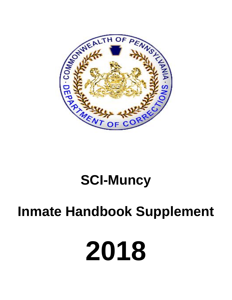

# **SCI-Muncy**

# **Inmate Handbook Supplement**

# **2018**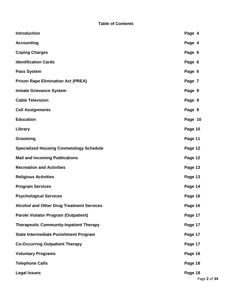| <b>Introduction</b>                              | Page 4  |  |
|--------------------------------------------------|---------|--|
| <b>Accounting</b>                                | Page 4  |  |
| <b>Coping Charges</b>                            | Page 6  |  |
| <b>Identification Cards</b>                      | Page 6  |  |
| <b>Pass System</b>                               | Page 6  |  |
| <b>Prison Rape Elimination Act (PREA)</b>        | Page 7  |  |
| <b>Inmate Grievance System</b>                   | Page 9  |  |
| <b>Cable Television</b>                          | Page 9  |  |
| <b>Cell Assignments</b>                          | Page 9  |  |
| <b>Education</b>                                 | Page 10 |  |
| Library                                          | Page 10 |  |
| Grooming                                         | Page 11 |  |
| <b>Specialized Housing Cosmetology Schedule</b>  | Page 12 |  |
| <b>Mail and Incoming Publications</b>            | Page 12 |  |
| <b>Recreation and Activities</b>                 | Page 13 |  |
| <b>Religious Activities</b>                      | Page 13 |  |
| <b>Program Services</b>                          | Page 14 |  |
| <b>Psychological Services</b>                    | Page 16 |  |
| <b>Alcohol and Other Drug Treatment Services</b> | Page 16 |  |
| <b>Parole Violator Program (Outpatient)</b>      | Page 17 |  |
| <b>Therapeutic Community-Inpatient Therapy</b>   | Page 17 |  |
| <b>State Intermediate Punishment Program</b>     | Page 17 |  |
| <b>Co-Occurring Outpatient Therapy</b>           | Page 17 |  |
| <b>Voluntary Programs</b>                        | Page 18 |  |
| <b>Telephone Calls</b>                           | Page 18 |  |
| <b>Legal Issues</b>                              | Page 18 |  |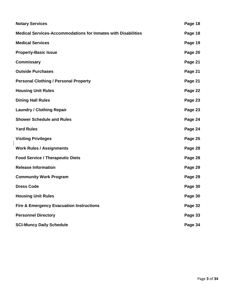| <b>Notary Services</b>                                               | Page 18 |
|----------------------------------------------------------------------|---------|
| <b>Medical Services-Accommodations for Inmates with Disabilities</b> | Page 18 |
| <b>Medical Services</b>                                              | Page 19 |
| <b>Property-Basic Issue</b>                                          | Page 20 |
| <b>Commissary</b>                                                    | Page 21 |
| <b>Outside Purchases</b>                                             | Page 21 |
| <b>Personal Clothing / Personal Property</b>                         | Page 21 |
| <b>Housing Unit Rules</b>                                            | Page 22 |
| <b>Dining Hall Rules</b>                                             | Page 23 |
| <b>Laundry / Clothing Repair</b>                                     | Page 23 |
| <b>Shower Schedule and Rules</b>                                     | Page 24 |
| <b>Yard Rules</b>                                                    | Page 24 |
| <b>Visiting Privileges</b>                                           | Page 25 |
| <b>Work Rules / Assignments</b>                                      | Page 28 |
| <b>Food Service / Therapeutic Diets</b>                              | Page 28 |
| <b>Release Information</b>                                           | Page 29 |
| <b>Community Work Program</b>                                        | Page 29 |
| <b>Dress Code</b>                                                    | Page 30 |
| <b>Housing Unit Rules</b>                                            | Page 30 |
| <b>Fire &amp; Emergency Evacuation Instructions</b>                  | Page 32 |
| <b>Personnel Directory</b>                                           | Page 33 |
| <b>SCI-Muncy Daily Schedule</b>                                      | Page 34 |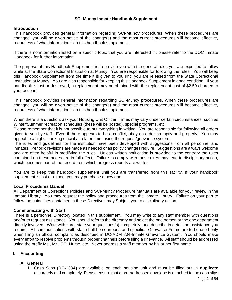## **SCI-Muncy Inmate Handbook Supplement**

#### **Introduction**

This handbook provides general information regarding **SCI-Muncy** procedures. When these procedures are changed, you will be given notice of the change(s) and the most current procedures will become effective, regardless of what information is in this handbook supplement.

If there is no information listed on a specific topic that you are interested in, please refer to the DOC Inmate Handbook for further information.

The purpose of this Handbook Supplement is to provide you with the general rules you are expected to follow while at the State Correctional Institution at Muncy. You are responsible for following the rules. You will keep this Handbook Supplement from the time it is given to you until you are released from the State Correctional Institution at Muncy. You are also responsible for keeping this Handbook Supplement in good condition. If your handbook is lost or destroyed, a replacement may be obtained with the replacement cost of \$2.50 charged to your account.

This handbook provides general information regarding SCI-Muncy procedures. When these procedures are changed, you will be given notice of the change(s) and the most current procedures will become effective, regardless of what information is in this handbook supplement.

When there is a question, ask your Housing Unit Officer. Times may vary under certain circumstances, such as Winter/Summer recreation schedules (these will be posted), special programs, etc.

Please remember that it is not possible to put everything in writing. You are responsible for following all orders given to you by staff. Even if there appears to be a conflict, obey an order promptly and properly. You may appeal to a higher-ranking official at a later time, using the request/grievance system.

The rules and guidelines for the institution have been developed with suggestions from all personnel and inmates. Periodic revisions are made as needed or as policy changes require. Suggestions are always welcome and are often helpful in modifying the rules. Unless written notification is provided to the contrary the rules contained on these pages are in full effect. Failure to comply with these rules may lead to disciplinary action, which becomes part of the record from which progress reports are written.

You are to keep this handbook supplement until you are transferred from this facility. If your handbook supplement is lost or ruined, you may purchase a new one.

#### **Local Procedures Manual**

All Department of Corrections Policies and SCI-Muncy Procedure Manuals are available for your review in the Inmate Library. You may request the policy and procedures from the Inmate Library. Failure on your part to follow the guidelines contained in these Directives may Subject you to disciplinary action.

#### **Communicating with Staff**

There is a personnel Directory located in this supplement. You may write to any staff member with questions and/or to request assistance. You should refer to the directory and select the one person or the one department directly involved. Write with care, state your questions(s) completely, and describe in detail the assistance you require. All communications with staff shall be courteous and specific. Grievance Forms are to be used only when filing an official complaint as described in DC-ADM 804-Inmate Grievance System. You should make every effort to resolve problems through proper channels before filing a grievance. All staff should be addressed using the prefix Ms., Mr., CO, Nurse, etc. Never address a staff member by his or her first name.

#### **I. Accounting**

# **A. General**

1. Cash Slips **(DC-138A)** are available on each housing unit and must be filled out in **duplicate**  accurately and completely. Please ensure that a pre-addressed envelope is attached to the cash slips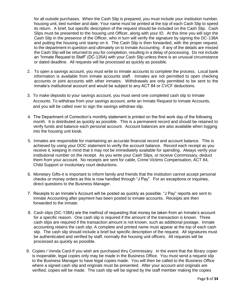for all outside purchases. When the Cash Slip is prepared, you must include your institution number, housing unit, bed number and date. Your name must be printed at the top of each Cash Slip to speed its return. A brief, but specific description of the request should be included on the Cash Slip. Cash Slips must be presented to the housing unit Officer, along with your ID. At this time you will sign the Cash Slip in the presence of the Officer, who in turn will verify the signature by signing the DC-138A and putting the housing unit stamp on it. The Cash Slip is then forwarded, with the proper request, to the department in question and ultimately on to Inmate Accounting. If any of the details are missed the Cash Slip will be returned to you for completion, resulting in a delay of processing. Do not include an "Inmate Request to Staff" (DC-135A) with your Cash Slip unless there is an unusual circumstance or dated deadline. All requests will be processed as quickly as possible.

- 2. To open a savings account, you must write to inmate accounts to complete the process. Local bank information is available from inmate accounts staff. Inmates are not permitted to open checking accounts or joint accounts with other inmates. Withdrawals are only permitted to be sent to the inmate's institutional account and would be subject to any ACT 84 or CVCF deductions.
- 3*.* To make deposits to your savings account, you must send one completed cash slip to Inmate Accounts. To withdraw from your savings account, write an Inmate Request to Inmate Accounts, and you will be called over to sign the savings withdraw slip.
- 4*.* The Department of Correction's monthly statement is printed on the first work day of the following month. It is distributed as quickly as possible. This is a permanent record and should be retained to verify funds and balance each personal account. Account balances are also available when logging into the housing unit kiosk.
- 5. Inmates are responsible for maintaining an accurate financial record and account balance. This is achieved by using your DOC statement to verify the account balance. Record each receipt as you receive it, keeping in mind that it may not be immediately available for spending. Always verify your institutional number on the receipt. As you write your Cash Slips, or receive Commissary, deduct them from your account. No receipts are sent for cable, Crime Victims Compensation, ACT 84, Child Support or involuntary court deductions.
- 6. Monetary Gifts-it is important to inform family and friends that the institution cannot accept personal checks or money orders as this is now handled through "J Pay". For an exceptions or inquiries, direct questions to the Business Manager.
- 7. Receipts to an Inmate's Account will be posted as quickly as possible. "J Pay" reports are sent to Inmate Accounting after payment has been posted to inmate accounts. Receipts are then forwarded to the inmate.
- 8. Cash slips (DC-138A) are the method of requesting that money be taken from an Inmate's account for a specific reason. One cash slip is required if the amount of the transaction is known. Three cash slips are required if the transaction amount is not known, such as additional postage. Inmate accounting retains the cash slip. A complete and printed name must appear at the top of each cash slip. The cash slip should include a brief but specific description of the request. All signatures must be authenticated and verified by staff, normally the housing unit officers. All requests will be processed as quickly as possible.
- 9. Copies / Venda Card-If you wish are purchased thru Commissary. In the event that the library copier is inoperable, legal copies only may be made in the Business Office. You must send a request slip to the Business Manager to have legal copies made. You will then be called to the Business Office where a signed cash slip and originals must be presented. After your account and originals are verified, copies will be made. The cash slip will be signed by the staff member making the copies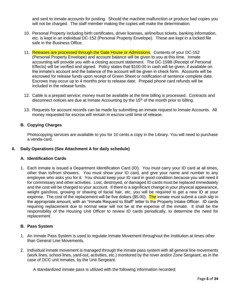and sent to inmate accounts for posting. Should the machine malfunction or produce bad copies you will not be charged. The staff member making the copies will make the determination.

- 10. Personal Property including birth certificates, driver licenses, airline/bus tickets, banking information, etc. is kept in an individual DC-152 (Personal Property Envelope). These are kept in a locked file safe in the Business Office.
- 11. Releases are processed through the Gate House or Admissions. Contents of your DC-152 (Personal Property Envelope) and account balance will be given to you at this time. Inmate accounting will provide you with a closing account statement. The DC-159B (Receipt of Personal Effects) will be verified and signed. Policy states that \$100.00 in cash will be given, if available on the inmate's account and the balance of the account will be given in check form. Accounts will be escrowed for release funds upon receipt of Green Sheet or notification of sentence complete date. Escrows may occur up to 4 months prior to release date. Prepaid phone card refunds will be included in the release funds.
- 12. Cable is a prepaid service; money must be available at the time billing is processed. Contracts and disconnect notices are due at Inmate Accounting by the  $15<sup>th</sup>$  of the month prior to billing.
- 13. Requests for account records can be made by submitting an inmate request to Inmate Accounts. All money requested for escrow will remain in escrow until time of release.

## **B. Copying Charges**

Photocopying services are available to you for 10 cents a copy in the Library. You will need to purchase a venda-card.

#### **II. Daily Operations (See Attachment A for daily schedule)**

# **A. Identification Cards**

1. Each inmate is issued a Department Identification Card (ID). You must carry your ID card at all times, other than to/from showers. You must show your ID card, and give your name and number to any employee who asks you for it. You should keep your ID card in good condition because you will need it for commissary and other activities. Lost, destroyed, or damaged ID cards must be replaced immediately and the cost will be charged to your account. If there is a significant change in your physical appearance, weight gain/loss, growing or shaving of facial hair, etc, you will be required to get a new ID at your expense. The cost of the replacement will be five dollars (\$5.00). The inmate must submit a cash slip in the appropriate amount, with an "Inmate Request to Staff" letter to the Property Intake Officer. ID cards requiring replacement due to normal wear will not be at the expense of the inmate. It shall be the responsibility of the Housing Unit Officer to review ID cards periodically, to determine the need for replacement.

#### **B. Pass System**

- 1. An Inmate Pass System is used to regulate Inmate Movement throughout the Institution at times other than General Line Movements.
- 2. Individual inmate movement is managed through the inmate pass system with all general line movements (work lines, school lines, yard-out, activities, etc.) monitored by the rover and/or Zone Sergeant, as in the case of DCC unit inmates, by the Unit Sergeant.

A standardized inmate pass is utilized with the following information recorded: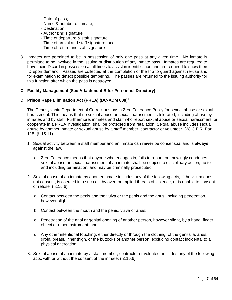- Date of pass;
- Name & number of inmate;
- Destination;

 $\overline{a}$ 

- Authorizing signature;
- Time of departure & staff signature;
- Time of arrival and staff signature; and
- Time of return and staff signature
- 3. Inmates are permitted to be in possession of only one pass at any given time. No inmate is permitted to be involved in the issuing or distribution of any inmate pass. Inmates are required to have their ID card in possession at all times to assist in identification and are required to show their ID upon demand. Passes are collected at the completion of the trip to guard against re-use and for examination to detect possible tampering. The passes are returned to the issuing authority for this function after which the pass is destroyed.

#### **C. Facility Management (See Attachment B for Personnel Directory)**

## **D. Prison Rape Elimination Act (PREA) (DC-ADM 008)<sup>1</sup>**

The Pennsylvania Department of Corrections has a Zero Tolerance Policy for sexual abuse or sexual harassment. This means that no sexual abuse or sexual harassment is tolerated, including abuse by inmates and by staff. Furthermore, inmates and staff who report sexual abuse or sexual harassment, or cooperate in a PREA investigation, shall be protected from retaliation. Sexual abuse includes sexual abuse by another inmate or sexual abuse by a staff member, contractor or volunteer. (28 C.F.R. Part 115, §115.11)

- 1. Sexual activity between a staff member and an inmate can **never** be consensual and is **always** against the law.
	- a. Zero Tolerance means that anyone who engages in, fails to report, or knowingly condones sexual abuse or sexual harassment of an inmate shall be subject to disciplinary action, up to and including termination, and may be criminally prosecuted.
- 2. Sexual abuse of an inmate by another inmate includes any of the following acts, if the victim does not consent, is coerced into such act by overt or implied threats of violence, or is unable to consent or refuse: (§115.6)
	- a. Contact between the penis and the vulva or the penis and the anus, including penetration, however slight;
	- b. Contact between the mouth and the penis, vulva or anus;
	- c. Penetration of the anal or genital opening of another person, however slight, by a hand, finger, object or other instrument; and
	- d. Any other intentional touching, either directly or through the clothing, of the genitalia, anus, groin, breast, inner thigh, or the buttocks of another person, excluding contact incidental to a physical altercation.
- 3. Sexual abuse of an inmate by a staff member, contractor or volunteer includes any of the following acts, with or without the consent of the inmate: (§115.6)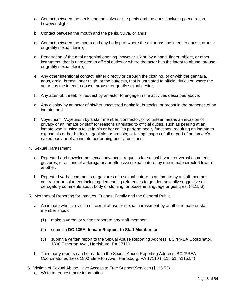- a. Contact between the penis and the vulva or the penis and the anus, including penetration, however slight;
- b. Contact between the mouth and the penis, vulva, or anus;
- c. Contact between the mouth and any body part where the actor has the intent to abuse, arouse, or gratify sexual desire;
- d. Penetration of the anal or genital opening, however slight, by a hand, finger, object, or other instrument, that is unrelated to official duties or where the actor has the intent to abuse, arouse, or gratify sexual desire;
- e. Any other intentional contact, either directly or through the clothing, of or with the genitalia, anus, groin, breast, inner thigh, or the buttocks, that is unrelated to official duties or where the actor has the intent to abuse, arouse, or gratify sexual desire;
- f. Any attempt, threat, or request by an actor to engage in the activities described above;
- g. Any display by an actor of his/her uncovered genitalia, buttocks, or breast in the presence of an inmate; and
- h. Voyeurism. Voyeurism by a staff member, contractor, or volunteer means an invasion of privacy of an inmate by staff for reasons unrelated to official duties, such as peering at an inmate who is using a toilet in his or her cell to perform bodily functions; requiring an inmate to expose his or her buttocks, genitals, or breasts; or taking images of all or part of an inmate's naked body or of an inmate performing bodily functions.
- 4. Sexual Harassment
	- a. Repeated and unwelcome sexual advances, requests for sexual favors, or verbal comments, gestures, or actions of a derogatory or offensive sexual nature, by one inmate directed toward another.
	- b. Repeated verbal comments or gestures of a sexual nature to an inmate by a staff member, contractor or volunteer including demeaning references to gender, sexually suggestive or derogatory comments about body or clothing, or obscene language or gestures. (§115.6)
- 5. Methods of Reporting for Inmates, Friends, Family and the General Public
	- a. An inmate who is a victim of sexual abuse or sexual harassment by another inmate or staff member should:
		- (1) make a verbal or written report to any staff member;
		- (2) submit a **DC-135A, Inmate Request to Staff Member**; or
		- (3) submit a written report to the Sexual Abuse Reporting Address: BCI/PREA Coordinator, 1800 Elmerton Ave., Harrisburg, PA 17110.
	- b. Third party reports can be made to the Sexual Abuse Reporting Address, BCI/PREA Coordinator address 1800 Elmerton Ave., Harrisburg, PA 17110 (§115.51, §115.54)
- 6. Victims of Sexual Abuse Have Access to Free Support Services (§115.53) a. Write to request more information: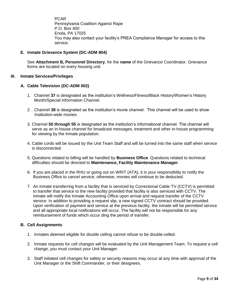PCAR Pennsylvania Coalition Against Rape P.O. Box 400 Enola, PA 17025 You may also contact your facility's PREA Compliance Manager for access to this service.

# **E. Inmate Grievance System (DC-ADM 804)**

See **Attachment B, Personnel Directory**, for the **name** of the Grievance Coordinator. Grievance forms are located on every housing unit.

#### **III. Inmate Services/Privileges**

## **A. Cable Television (DC-ADM 002)**

- 1. Channel **37** is designated as the institution's Wellness/Fitness/Black History/Women's History Month/Special Information Channel.
- 2. Channel **38** is designated as the institution's movie channel. This channel will be used to show Institution-wide movies.
- 3. Channel **50 through 55** is designated as the institution's informational channel. The channel will serve as an in-house channel for broadcast messages, treatment and other in-house programming for viewing by the inmate population.
- 4. Cable cords will be issued by the Unit Team Staff and will be turned into the same staff when service is disconnected*.*
- 5. Questions related to billing will be handled by **Business Office**. Questions related to technical difficulties should be directed to **Maintenance, Facility Maintenance Manager**.
- 6. If you are placed in the RHU or going out on WRIT (ATA), it is your responsibility to notify the Business Office to cancel service; otherwise, monies will continue to be deducted.
- 7. An inmate transferring from a facility that is serviced by Correctional Cable TV (CCTV) is permitted to transfer that service to the new facility provided that facility is also serviced with CCTV. The inmate will notify the Inmate Accounting Office upon arrival and request transfer of the CCTV service. In addition to providing a request slip, a new signed CCTV contract should be provided. Upon verification of payment and service at the previous facility, the inmate will be permitted service and all appropriate local notifications will occur. The facility will not be responsible for any reimbursement of funds which occur ding the period of transfer.

#### **B. Cell Assignments**

- 1. Inmates deemed eligible for double celling cannot refuse to be double-celled.
- 2. Inmate requests for cell changes will be evaluated by the Unit Management Team. To request a cell change, you must contact your Unit Manager.
- 3. Staff initiated cell changes for safety or security reasons may occur at any time with approval of the Unit Manager or the Shift Commander, or their designees.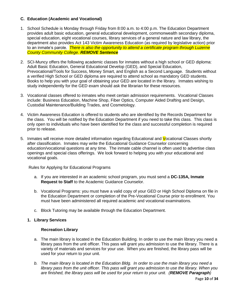# **C. Education (Academic and Vocational)**

- 1. School Schedule is Monday through Friday from 8:00 a.m. to 4:00 p.m. The Education Department provides adult basic education, general educational development, commonwealth secondary diploma, special education, eight vocational courses, library services of a general nature and law library, the department also provides Act 143 Victim Awareness Education (as required by legislative action) prior to an inmate's parole. *There is also the opportunity to attend a certificate program through Luzerne County Community College. REMOVE Sentence*
- 2. SCI-Muncy offers the following academic classes for inmates without a high school or GED diploma: Adult Basic Education, General Educational Develop (GED), and Special Education, Prevocational/Tools for Success, Money Smart, and English as a Second Language. Students without a verified High School or GED diploma are required to attend school as mandatory GED students. Books to help you with your goal of obtaining your GED are located in the library. Inmates wishing to study independently for the GED exam should ask the librarian for these resources.
- 3. Vocational classes offered to inmates who meet certain admission requirements. Vocational Classes include: Business Education, Machine Shop, Fiber Optics, Computer Aided Drafting and Design, Custodial Maintenance/Building Trades, and Cosmetology.
- 4. Victim Awareness Education is offered to students who are identified by the Records Department for the class. You will be notified by the Education Department if you need to take this class. This class is only open to individuals who have been identified for the class and successful completion is required prior to release.
- 5. Inmates will receive more detailed information regarding Educational and Vocational Classes shortly after classification. Inmates may write the Educational Guidance Counselor concerning education/vocational questions at any time. The inmate cable channel is often used to advertise class openings and special class offerings. We look forward to helping you with your educational and vocational goals.

**Rules for Applying for Educational Programs** 

- a. If you are interested in an academic school program, you must send a **DC-135A, Inmate Request to Staff** to the Academic Guidance Counselor.
- b. Vocational Programs: you must have a valid copy of your GED or High School Diploma on file in the Education Department or completion of the Pre-Vocational Course prior to enrollment. You must have been administered all required academic and vocational examinations.
- c. Block Tutoring may be available through the Education Department.
- **1. Library Services**

# **Recreation Library**

- a. The main library is located in the Education Building. In order to use the main library you need a library pass from the unit officer. This pass will grant you admission to use the library. There is a variety of materials and services for your use. When you are finished, the library pass will be used for your return to your unit.
- *b. The main library is located in the Education Bldg. In order to use the main library you need a library pass from the unit officer. This pass will grant you admission to use the library. When you are finished, the library pass will be used for your return to your unit. (REMOVE Paragraph)*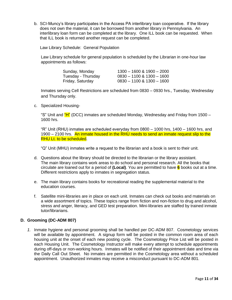b. SCI-Muncy's library participates in the Access PA interlibrary loan cooperative. If the library does not own the material, it can be borrowed from another library in Pennsylvania. An interlibrary loan form can be completed at the library. One ILL book can be requested. When that ILL book is returned another request can be completed.

Law Library Schedule: General Population

Law Library schedule for general population is scheduled by the Librarian in one-hour law appointments as follows:

| Sunday, Monday     | $1300 - 1600 - 1900 - 2000$   |
|--------------------|-------------------------------|
| Tuesday - Thursday | $0830 - 1100$ & $1300 - 1600$ |
| Friday, Saturday   | $0830 - 1100$ & $1300 - 1600$ |

Inmates serving Cell Restrictions are scheduled from 0830 – 0930 hrs., Tuesday, Wednesday and Thursday only.

c. Specialized Housing-

"S" Unit and "H" (DCC) inmates are scheduled Monday, Wednesday and Friday from 1500 -1600 hrs.

"R" Unit (RHU) inmates are scheduled everyday from 0800 – 1000 hrs, 1400 – 1600 hrs, and 1900 – 2100 hrs. An inmate housed in the RHU needs to send an inmate request slip to the RHU Lt. to be scheduled.

"Q" Unit (MHU) inmates write a request to the librarian and a book is sent to their unit.

- d. Questions about the library should be directed to the librarian or the library assistant. The main library contains work areas to do school and personal research. All the books that circulate are loaned out for a period of **(Local)**. You are permitted to have **6** books out at a time. Different restrictions apply to inmates in segregation status.
- e. The main library contains books for recreational reading the supplemental material to the education courses.
- f. Satellite mini-libraries are in place on each unit. Inmates can check out books and materials on a wide assortment of topics. These topics range from fiction and non-fiction to drug and alcohol, stress and anger, literacy, and GED test preparation. Mini-libraries are staffed by trained inmate tutor/librarians.

# **D. Grooming (DC-ADM 807)**

*1.* Inmate hygiene and personal grooming shall be handled per DC-ADM 807. Cosmetology services will be available by appointment. A signup form will be posted in the common room area of each housing unit at the onset of each new posting cycle. The Cosmetology Price List will be posted in each Housing Unit. The Cosmetology Instructor will make every attempt to schedule appointments during off-days or non-working hours. Inmates will be notified of their appointment date and time via the Daily Call Out Sheet. No inmates are permitted in the Cosmetology area without a scheduled appointment. Unauthorized inmates may receive a misconduct pursuant to DC-ADM 801*.*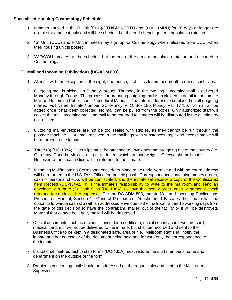# **Specialized Housing Cosmetology Schedule**:

- 1. Inmates housed in the R Unit (RHU)/DTU/BMU/SRTU and Q Unit (MHU) for 30 days or longer are eligible for a haircut only and will be scheduled at the end of each general population rotation.
- 2. "S" Unit (DCC) and H Unit inmates may sign up for Cosmetology when released from DCC, when their housing unit is posted.
- 3. YAO/YOU inmates will be scheduled at the end of the general population rotation and escorted to Cosmetology.

# **E. Mail and Incoming Publications (DC-ADM 803)**

- 1. All mail, with the exception of the eight, one-ounce, first-class letters per month requires cash slips.
- 2. Outgoing mail is picked up Sunday through Thursday in the evening. Incoming mail is delivered Monday through Friday. The process for preparing outgoing mail is explained in detail in the Inmate Mail and Incoming Publications Procedural Manual. The return address to be placed on all outgoing mail is: Full Name, Inmate Number, SCI-Muncy, P. O. Box 180, Muncy, Pa. 17756. No mail will be added once it has been collected. No mail can be pulled from the boxes. Only authorized staff will collect the mail. Incoming mail and mail to be returned to inmates will be distributed in the evening by unit officers.
- 3. Outgoing mail-envelopes are not be too sealed with staples, as they cannot be run through the postage machine. . All mail received in the mailbags with substances, tape and excess staple will be returned to the inmate.
- 4. Three (3) (DC-138A) Cash slips must be attached to envelopes that are going out of the country (i.e. Germany, Canada, Mexico, etc.) or for letters which are overweight. Overweight mail that is Received without cash slips will be returned to the inmate.
- *5.* Incoming Mail/Incoming Correspondence determined to be undeliverable and with no return address will be returned to the U.S. Post Office for their disposal. Correspondence containing money orders, cash or personal checks will be confiscated, and the inmate will receive a copy of the Confiscated Item Receipt (DC-154A). It is the inmate's responsibility to write to the mailroom and send an envelope with three (3) Cash Slips (DC-138A), to have the money order, cash or personal check returned to sender at her expense. Per the DC-ADM 803, Inmate Mail and Incoming Publications Procedures Manual, Section 1—General Procedures, Attachment 1-B states the inmate has the option to forward a cash slip with an addressed envelope to the mailroom within 15 working days from the date of this decision to have the contraband mailed out of the facility or it will be destroyed. Material that cannot be legally mailed will be destroyed.
- 6. Official documents such as driver's license, birth certificate, social security card, welfare card, medical card, etc. will not be delivered to the inmate, but shall be recorded and sent to the Business Office to be kept in a designated safe, area or file. Mailroom staff shall notify the inmate and her counselor of the document being held and forward only the correspondence to the inmate.
- 7. Institutional mail-request to staff forms (DC-135A) must include the staff member's name and department on the outside of the form.
- 8. Problems concerning mail should be addressed on the request slip and sent to the Mailroom Supervisor.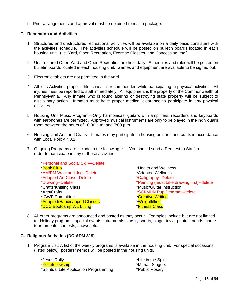9. Prior arrangements and approval must be obtained to mail a package.

# **F. Recreation and Activities**

- 1. Structured and unstructured recreational activities will be available on a daily basis consistent with the activities schedule. The activities schedule will be posted on bulletin boards located in each housing unit. (i.e. Yard, Open Recreation, Exercise Classes, and Concession, etc.)
- 2. Unstructured Open Yard and Open Recreation are held daily. Schedules and rules will be posted on bulletin boards located in each housing unit. Games and equipment are available to be signed out.
- 3. Electronic tablets are not permitted in the yard.
- 4. Athletic Activities-proper athletic wear is recommended while participating in physical activities. All injuries must be reported to staff immediately. All equipment is the property of the Commonwealth of Pennsylvania. Any inmate who is found altering or destroying state property will be subject to disciplinary action. Inmates must have proper medical clearance to participate in any physical activities.
- 5. Housing Unit Music Program—Only harmonicas, guitars with amplifiers, recorders and keyboards with earphones are permitted. Approved musical instruments are only to be played in the individual's room between the hours of 10:00 a.m. and 7:00 p.m.
- 6. Housing Unit Arts and Crafts—Inmates may participate in housing unit arts and crafts in accordance with Local Policy 7.8.1.
- 7. Ongoing Programs are include in the following list. You should send a Request to Staff in order to participate in any of these activities:

\*Personal and Social Skill—Delete \*Book Club \*Health and Wellness \*AM/PM Walk and Jog--Delete \*Adapted Wellness \*Adapted Art Class--Delete \*Calligraphy--Delete \*Crafts/Knitting Class \*Music/Guitar instruction<br>\*Arts/Crafts \*SCI-MUN Pup Program \*IGWF Committee \*Creative Writing \*Adapted/Handicapped Classes \*Weightlifting \*DCC Bootcamp Wt. Lifting **\***Fitness Class

\*Drawing--Delete \*Painting (must take drawing first)--delete \*SCI-MUN Pup Program--delete

8. All other programs are announced and posted as they occur. Examples include but are not limited to; Holiday programs, special events, intramurals, varsity sports, bingo, trivia, photos, bands, game tournaments, contests, shows, etc.

#### **G. Religious Activities (DC-ADM 819)**

1. Program List: A list of the weekly programs is available in the housing unit. For special occasions (listed below), posters/memos will be posted in the housing units.

*\**Jesus Rally \*Life in the Spirit \*Yokefellowship **\*Warian Singers** \*Spiritual Life Application Programming \*Public Rosary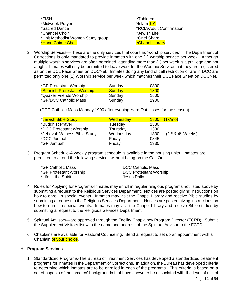| *FISH                             | *Tahleem                 |  |
|-----------------------------------|--------------------------|--|
| *Midweek Prayer                   | *Islam 101               |  |
| *Sacred Dance                     | *RCIA/Adult Confirmation |  |
| *Chancel Choir                    | *Jewish Life             |  |
| *Unit Methodist Women Study group | *Grief Share             |  |
| <b>*Hand Chime Choir</b>          | *Chapel Library          |  |

2. Worship Services—These are the only services that count as "worship services". The Department of Corrections is only mandated to provide inmates with one (1) worship service per week. Although multiple worship services are often permitted, attending more than (1) per week is a privilege and not a right. Inmates will only be permitted to leave work for the Worship Service that they are registered as on the DC1 Face Sheet on DOCNet. Inmates doing any kind of cell restriction or are in DCC are permitted only one (1) Worship service per week which matches their DC1 Face Sheet on DOCNet.

| *GP Protestant Worship      | Sunday | 0800        |
|-----------------------------|--------|-------------|
| *Spanish Protestant Worship | Sunday | <b>1300</b> |
| *Quaker Friends Worship     | Sunday | 1500        |
| *GP/DCC Catholic Mass       | Sunday | 1900        |

(DCC Catholic Mass Monday 1900 after evening Yard Out closes for the season)

| *Jewish Bible Study          | Wednesday |      | $1800$ $(1x/mol)$           |
|------------------------------|-----------|------|-----------------------------|
| *Buddhist Prayer             | Tuesday   | 1330 |                             |
| *DCC Protestant Worship      | Thursday  | 1330 |                             |
| *Jehovah Witness Bible Study | Wednesday | 1830 | $(2^{nd}$ & $4^{th}$ Weeks) |
| *DCC Jumuah                  | Friday    | 0845 |                             |
| *GP Jumuah                   | Friday    | 1330 |                             |
|                              |           |      |                             |

3. Program Schedule-A weekly program schedule is available in the housing units. Inmates are permitted to attend the following services without being on the Call-Out:

| *GP Catholic Mass      | <b>DCC Catholic Mass</b>      |
|------------------------|-------------------------------|
| *GP Protestant Worship | <b>DCC Protestant Worship</b> |
| *Life in the Spirit    | Jesus Rally                   |

- 4. Rules for Applying for Programs-Inmates may enroll in regular religious programs not listed above by submitting a request to the Religious Services Department. Notices are posted giving instructions on how to enroll in special events. Inmates may visit the Chapel Library and receive Bible studies by submitting a request to the Religious Services Department. Notices are posted giving instructions on how to enroll in special events. Inmates may visit the Chapel Library and receive Bible studies by submitting a request to the Religious Services Department.
- 5. Spiritual Advisors—are approved through the Facility Chaplaincy Program Director (FCPD). Submit the Supplement Visitors list with the name and address of the Spiritual Advisor to the FCPD.
- 6. Chaplains are available for Pastoral Counseling. Send a request to set up an appointment with a Chaplain of your choice.

# **H. Program Services**

1. Standardized Programs-The Bureau of Treatment Services has developed a standardized treatment programs for inmates in the Department of Corrections. In addition, the Bureau has developed criteria to determine which inmates are to be enrolled in each of the programs. This criteria is based on a set of aspects of the inmates' backgrounds that have shown to be associated with the level of risk of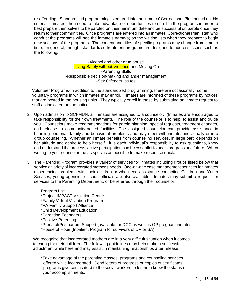re-offending. Standardized programming is entered into the inmates' Correctional Plan based on this criteria. Inmates, then need to take advantage of opportunities to enroll in the programs in order to best prepare themselves to be paroled on their minimum date and be successful on parole once they return to their communities. Once programs are entered into an inmates' Correctional Plan, staff who conduct the programs will see the inmate's name(s) on the waiting lists when they prepare to begin new sections of the programs. The content and titles of specific programs may change from time to time. In general, though, standardized treatment programs are designed to address issues such as the following*:*

> -Alcohol and other drug abuse -Living Safely without Violence and Moving On -Parenting Skills -Responsible decision-making and anger management -Sex Offender Issues

 Volunteer Programs-In addition to the standardized programming, there are occasionally some voluntary programs in which inmates may enroll. Inmates are informed of these programs by notices that are posted in the housing units. They typically enroll in these by submitting an inmate request to staff as indicated on the notice.

- 2. Upon admission to SCI-MUN, all inmates are assigned to a counselor. (Inmates are encouraged to take responsibility for their own treatment). The role of the counselor is to help, to assist and guide you. Counselors make recommendations for parole planning, special requests, treatment changes, and release to community-based facilities. The assigned counselor can provide assistance in handling personal, family and behavioral problems and may meet with inmates individually or in a group counseling. Whether an inmate benefits from counseling services, in large part, depends on her attitude and desire to help herself. It is each individual's responsibility to ask questions, know and understand the process; active participation can be essential to one's progress and future. When writing to your counselor, be as specific as possible to make response quick*.*
- 3. The Parenting Program provides a variety of services for inmates including groups listed below that service a variety of incarcerated mother's needs. One-on-one case management services for inmates experiencing problems with their children or who need assistance contacting Children and Youth Services, young agencies or court officials are also available. Inmates may submit a request for services to the Parenting Department, or be referred through their counselor.

**Program List:** \*Project IMPACT Visitation Center \*Family Virtual Visitation Program \*PA Family Support Alliance \*Child Development Education \*Parenting Teenagers \*Positive Parenting \*Prenatal/Postpartum Support (available for DCC as well as GP pregnant inmates \*House of Hope (Inpatient Program for survivors of DV or SA)

 We recognize that incarcerated mothers are in a very difficult situation when it comes to caring for their children. The following guidelines may help make a successful adjustment while here and may assist in maintaining relationships after release.

\*Take advantage of the parenting classes, programs and counseling services offered while incarcerated. Send letters of progress or copies of certificates programs give certificates) to the social workers to let them know the status of your accomplishments.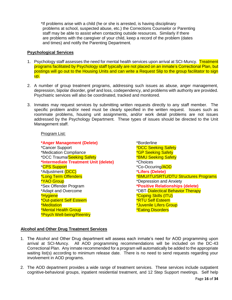\*If problems arise with a child (he or she is arrested, is having disciplinary problems at school, suspected abuse, etc.) the Corrections Counselor or Parenting staff may be able to assist when contacting outside resources. Similarly if there are problems with the caregiver of your child, keep a record of the problem (dates and times) and notify the Parenting Department*.* 

#### **Psychological Services**

- 1. Psychology staff assesses the need for mental health services upon arrival at SCI-Muncy. Treatment programs facilitated by Psychology staff typically are not placed on an inmate's Correctional Plan, but postings will go out to the Housing Units and can write a Request Slip to the group facilitator to sign up.
- 2. A number of group treatment programs, addressing such issues as abuse, anger management, depression, bipolar disorder, grief and loss, codependency, and problems with authority are provided. Psychiatric services will also be coordinated, tracked and monitored.
- 3. Inmates may request services by submitting written requests directly to any staff member. The specific problem and/or need must be clearly specified in the written request. Issues such as roommate problems, housing unit assignments, and/or work detail problems are not issues addressed by the Psychology Department. These types of issues should be directed to the Unit Management staff.

# Program List:

**\*Anger Management (Delete)** \*Borderline \*Cancer Support **\*DCC Seeking Safety** \*Medication Compliance \* The state of the seeking Safety \*DCC Trauma/Seeking Safety **\*BMU Seeking Safety \*Intermediate Treatment Unit (delete)** \*Choices \*CPS Support \*Co-Occuring/AOD \*Adjustment (DCC) \***Lifers (Delete)** \*YAO Group \*Depression and Anxiety \*Adapt and Overcome **\***DBT-Dialectical Behavior Therapy \*Hygiene \*Coping Skills (ITU) \*Out-patient Self Esteem \*RTU Self Esteem \*Meditation \*Juvenile Lifers Group \*Mental Health Group **\***Eating Disorders \*Psych Well-being/Reentry

\*Long Term Offenders \*BMU/ITU/SRTU/DTU Structures Programs **\*Positive Relationships (delete)** 

# **Alcohol and Other Drug Treatment Services**

- 1. The Alcohol and Other Drug department will assess each inmate's need for AOD programming upon arrival at SCI-Muncy. All AOD programming recommendations will be included on the DC-43 Correctional Plan. Any inmate recommended for a program will automatically be added to the appropriate waiting list(s) according to minimum release date. There is no need to send requests regarding your involvement in AOD programs.
- 2. The AOD department provides a wide range of treatment services. These services include outpatient cognitive-behavioral groups, inpatient residential treatment, and 12 Step Support meetings. Self help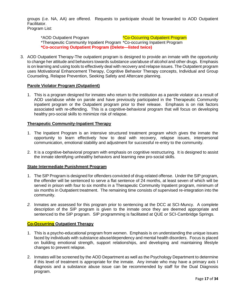groups (i.e. NA, AA) are offered. Requests to participate should be forwarded to AOD Outpatient Facilitator.

Program List:

\*AOD Outpatient Program **\*Co-Occurring Outpatient Program** \*Therapeutic Community Inpatient Program \*Co-occurring Inpatient Program **\*Co-occurring Outpatient Program (Delete—listed twice)**

3. AOD Outpatient Therapy-The outpatient program is designed to provide an inmate with the opportunity to change her attitude and behaviors towards substance use/abuse of alcohol and other drugs. Emphasis is on learning and using tools to effectively deal with recovery and relapse issues. The Outpatient program uses Motivational Enhancement Therapy, Cognitive Behavior Therapy concepts, Individual and Group Counseling, Relapse Prevention, Seeking Safety and Aftercare planning.

# **Parole Violator Program (Outpatient)**

1. This is a program designed for inmates who return to the institution as a parole violator as a result of AOD use/abuse while on parole and have previously participated in the Therapeutic Community inpatient program or the Outpatient program prior to their release. Emphasis is on risk factors associated with re-offending. This is a cognitive-behavioral program that will focus on developing healthy pro-social skills to minimize risk of relapse.

# **Therapeutic Community-Inpatient Therapy**

- 1. The Inpatient Program is an intensive structured treatment program which gives the inmate the opportunity to learn effectively how to deal with recovery, relapse issues, interpersonal communication, emotional stability and adjustment for successful re-entry to the community.
- 2. It is a cognitive-behavioral program with emphasis on cognitive restructuring. It is designed to assist the inmate identifying unhealthy behaviors and learning new pro-social skills.

# **State Intermediate Punishment Program**

- 1. The SIP Program is designed for offenders convicted of drug-related offense. Under the SIP program, the offender will be sentenced to serve a flat sentence of 24 months, at least seven of which will be served in prison with four to six months in a Therapeutic Community Inpatient program, minimum of six months in Outpatient treatment. The remaining time consists of supervised re-integration into the community.
- *2.* Inmates are assessed for this program prior to sentencing at the DCC at SCI-Muncy. A complete description of the SIP program is given to the inmate once they are deemed appropriate and sentenced to the SIP program. SIP programming is facilitated at QUE or SCI-Cambridge Springs*.*

# **Co-Occurring Outpatient Therapy**

- 1. This is a psycho-educational program from women. Emphasis is on understanding the unique issues faced by individuals with substance abuse/dependency and mental health disorders. Focus is placed on building emotional strength, support relationships, and developing and maintaining lifestyle changes to prevent relapse.
- 2. Inmates will be screened by the AOD Department as well as the Psychology Department to determine if this level of treatment is appropriate for the inmate. Any inmate who may have a primary axis I diagnosis and a substance abuse issue can be recommended by staff for the Dual Diagnosis program.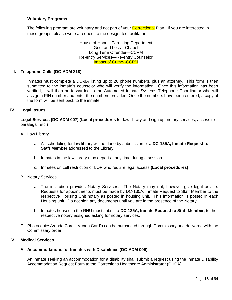# **Voluntary Programs**

The following program are voluntary and not part of your **Correctional** Plan. If you are interested in these groups, please write a request to the designated facilitator.

> House of Hope—Parenting Department Grief and Loss—Chapel Long Term Offender—CCPM Re-entry Services—Re-entry Counselor Impact of Crime--CCPM

#### **I. Telephone Calls (DC-ADM 818)**

Inmates must complete a DC-8A listing up to 20 phone numbers, plus an attorney. This form is then submitted to the inmate's counselor who will verify the information. Once this information has been verified, it will then be forwarded to the Automated Inmate Systems Telephone Coordinator who will assign a PIN number and enter the numbers provided. Once the numbers have been entered, a copy of the form will be sent back to the inmate.

#### **IV. Legal Issues**

**Legal Services (DC-ADM 007)** (**Local procedures** for law library and sign up, notary services, access to paralegal, etc.)

- A. Law Library
	- a. All scheduling for law library will be done by submission of a **DC-135A, Inmate Request to Staff Member** addressed to the Library.
	- b. Inmates in the law library may depart at any time during a session.
	- c. Inmates on cell restriction or LOP who require legal access **(Local procedures)**.
- B. Notary Services
	- a. The institution provides Notary Services. The Notary may not, however give legal advice. Requests for appointments must be made by DC-135A, Inmate Request to Staff Member to the respective Housing Unit notary as posted in housing unit. This information is posted in each Housing unit. Do not sign any documents until you are in the presence of the Notary.
	- b. Inmates housed in the RHU must submit a **DC-135A, Inmate Request to Staff Member**, to the respective notary assigned asking for notary services.
- C. Photocopies/Venda Card—Venda Card's can be purchased through Commissary and delivered with the Commissary order.

# **V. Medical Services**

#### **A. Accommodations for Inmates with Disabilities (DC-ADM 006)**

An inmate seeking an accommodation for a disability shall submit a request using the Inmate Disability Accommodation Request Form to the Corrections Healthcare Administrator (CHCA).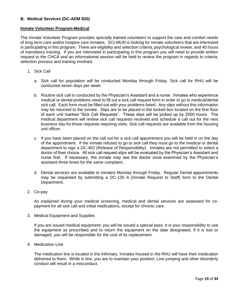# **B. Medical Services (DC-ADM 820)**

## **Inmate Volunteer Program-Medical**

The Inmate Volunteer Program provides specially trained volunteers to support the care and comfort needs of long term care and/or hospice care inmates. SCI-MUN is looking for inmate volunteers that are interested in participating in this program. There are eligibility and selection criteria, psychological review, and 40 hours of mandatory training. If you are interested in participating in this program you will need to provide written request to the CHCA and an informational session will be held to review the program in regards to criteria, selection process and training involved.

- 1. Sick Call
	- *a.* Sick call for population will be conducted Monday through Friday. Sick call for RHU will be conducted seven days per week.
	- b. Routine sick call is conducted by the Physician's Assistant and a nurse. Inmates who experience medical or dental problems need to fill out a sick call request form in order to go to medical/dental sick call. Each form must be filled out with your problems listed. Any slips without this information may be returned to the inmate. Slips are to be placed in the locked box located on the first floor of each unit marked "Sick Call Requests". These slips will be picked up by 2000 hours. The medical department will review sick call requests received and schedule a call out for the next business day for those requests requiring visits. Sick call requests are available from the housing unit officer.
	- c. If you have been placed on the call out for a sick call appointment you will be held in on the day of the appointment. If the inmate refuses to go to sick call they must go to the medical or dental department to sign a DC-462 (Release of Responsibility). Inmates are not permitted to select a doctor of their choice. All sick call request slips will be evaluated by the Physician's Assistant and nurse first. If necessary, the inmate may see the doctor once examined by the Physician's assistant three times for the same complaint.
	- d. Dental services are available to inmates Monday through Friday. Regular Dental appointments may be requested by submitting a DC-135 A (Inmate Request to Staff) form to the Dental Department.
- 2. Co-pay

As explained during your medical screening, medical and dental services are assessed for copayment for all sick call and initial medications, except for chronic care.

3. Medical Equipment and Supplies

If you are issued medical equipment, you will be issued a special pass. It is your responsibility to use the equipment as prescribed and to return the equipment on the date designated. If it is lost or damaged, you will be responsible for the cost of its replacement.

4. Medication Line

The medication line is located in the Infirmary. Inmates housed in the RHU will have their medication delivered to them. While in line, you are to maintain your position. Line jumping and other disorderly conduct will result in a misconduct.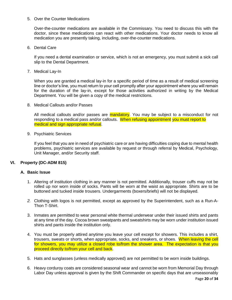#### 5. Over the Counter Medications

Over-the-counter medications are available in the Commissary. You need to discuss this with the doctor, since these medications can react with other medications. Your doctor needs to know all medication you are presently taking, including, over-the-counter medications.

6. Dental Care

If you need a dental examination or service, which is not an emergency, you must submit a sick call slip to the Dental Department.

7. Medical Lay-In

When you are granted a medical lay-in for a specific period of time as a result of medical screening line or doctor's line, you must return to your cell promptly after your appointment where you will remain for the duration of the lay-in, except for those activities authorized in writing by the Medical Department. You will be given a copy of the medical restrictions.

8. Medical Callouts and/or Passes

All medical callouts and/or passes are **mandatory**. You may be subject to a misconduct for not responding to a medical pass and/or callouts. When refusing appointment you must report to medical and sign appropriate refusal.

9. Psychiatric Services

If you feel that you are in need of psychiatric care or are having difficulties coping due to mental health problems, psychiatric services are available by request or through referral by Medical, Psychology, Unit Manager, and/or Security staff.

# **VI. Property (DC-ADM 815)**

# **A. Basic Issue**

- 1. Altering of institution clothing in any manner is not permitted. Additionally, trouser cuffs may not be rolled up nor worn inside of socks. Pants will be worn at the waist as appropriate. Shirts are to be buttoned and tucked inside trousers. Undergarments (boxers/briefs) will not be displayed.
- *2.* Clothing with logos is not permitted, except as approved by the Superintendent, such as a Run-A-Thon T-Shirt.
- 3. Inmates are permitted to wear personal white thermal underwear under their issued shirts and pants at any time of the day. Cocoa brown sweatpants and sweatshirts may be worn under institution issued shirts and pants inside the institution only.
- 4. You must be properly attired anytime you leave your cell except for showers. This includes a shirt, trousers, sweats or shorts, when appropriate, socks, and sneakers, or shoes. When leaving the cell for showers, you may utilize a closed robe to/from the shower area. The expectation is that you proceed directly to/from your cell and back.
- 5. Hats and sunglasses (unless medically approved) are not permitted to be worn inside buildings.
- 6. Heavy corduroy coats are considered seasonal wear and cannot be worn from Memorial Day through Labor Day unless approval is given by the Shift Commander on specific days that are unseasonably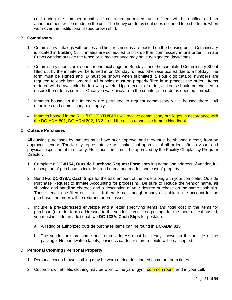cold during the summer months. If coats are permitted, unit officers will be notified and an announcement will be made on the unit. The heavy corduroy coat does not need to be buttoned when worn over the institutional issued brown shirt.

#### **B. Commissary**

- 1. Commissary catalogs with prices and limit restrictions are posted on the housing units. Commissary is located in Building 16. Inmates are scheduled to pick up their commissary in unit order. Inmate Crews working outside the fence or in maintenance may have designated days/times.
- 2. Commissary sheets are a one for one exchange on Sunday's and the completed Commissary Sheet filled out by the inmate will be turned in on Monday, unless otherwise posted due to a holiday. The form must be signed and ID must be shown when submitted it. Four digit catalog numbers are required to each item ordered. All bubbles must be properly filled in to process the order. Items ordered will be available the following week. Upon receipt of order, all items should be checked to ensure the order is correct. Once you walk away from the counter, the order is deemed correct.
- 3. Inmates housed in the Infirmary are permitted to request commissary while housed there. All deadlines and commissary rules apply.
- 4. Inmates housed in the RHU/DTU/SRTU/BMU will receive commissary privileges in accordance with the DC-ADM 801, DC-ADM 802, 13.8.1 and the unit's respective Inmate Handbook.

## **C. Outside Purchases**

All outside purchases by inmates must have prior approval and they must be shipped directly from an approved vendor. The facility representative will make final approval of all orders after a visual and physical inspection at the facility. Religious items must be approved by the Facility Chaplaincy Program Director.

- 1. Complete a **DC-815A, Outside Purchase Request Form** showing name and address of vendor, full description of purchase to include brand name and model, and cost of property.
- 2. Send two **DC-138A, Cash Slips** for the total amount of the order along with your completed Outside Purchase Request to Inmate Accounting for processing. Be sure to include the vendor name, all shipping and handling charges and a description of your desired purchase on the same cash slip. These need to be filled out in ink. If there is not enough money available in the account for the purchase, the order will be returned unprocessed.
- 3. Include a pre-addressed envelope and a letter specifying items and total cost of the items for purchase (or order form) addressed to the vendor. If your free postage for the month is exhausted, you must include an additional two **DC-138A, Cash Slips** for postage.
	- a. A listing of authorized outside purchase items can be found in **DC-ADM 815**.
	- b. The vendor or store name and return address must be clearly shown on the outside of the package. No handwritten labels, business cards, or store receipts will be accepted.

#### **D. Personal Clothing / Personal Property**

- 1. Personal cocoa brown clothing may be worn during designated common room times.
- 2. Cocoa brown athletic clothing may be worn to the yard, gym, common room, and in your cell.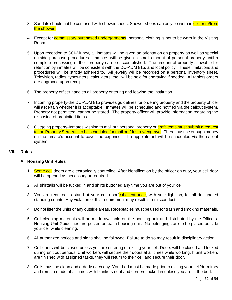- 3. Sandals should not be confused with shower shoes. Shower shoes can only be worn in cell or to/from the shower.
- 4. Except for **commissary purchased undergarments**, personal clothing is not to be worn in the Visiting Room.
- 5. Upon reception to SCI-Muncy, all inmates will be given an orientation on property as well as special outside purchase procedures. Inmates will be given a small amount of personal property until a complete processing of their property can be accomplished. The amount of property allowable for retention by inmates will be consistent with the DC-ADM 815, and local policy. These limitations and procedures will be strictly adhered to. All jewelry will be recorded on a personal inventory sheet. Television, radios, typewriters, calculators, etc., will be held for engraving if needed. All tablets orders are engraved upon receipt.
- 6. The property officer handles all property entering and leaving the institution.
- 7. Incoming property-the DC-ADM 815 provides guidelines for ordering property and the property officer will ascertain whether it is acceptable. Inmates will be scheduled and notified via the callout system. Property not permitted, cannot be stored. The property officer will provide information regarding the disposing of prohibited items.
- 8. Outgoing property-Inmates wishing to mail out personal property or craft items must submit a request to the Property Sergeant to be scheduled for mail out/destroy/engrave. There must be enough money on the inmate's account to cover the expense. The appointment will be scheduled via the callout system.

#### **VII. Rules**

#### **A. Housing Unit Rules**

- 1. Some cell doors are electronically controlled. After identification by the officer on duty, your cell door will be opened as necessary or required.
- 2. All shirttails will be tucked in and shirts buttoned any time you are out of your cell.
- 3. You are required to stand at your cell door/cube entrance, with your light on, for all designated standing counts. Any violation of this requirement may result in a misconduct.
- 4. Do not litter the units or any outside areas. Receptacles must be used for trash and smoking materials.
- 5. Cell cleaning materials will be made available on the housing unit and distributed by the Officers. Housing Unit Guidelines are posted on each housing unit. No belongings are to be placed outside your cell while cleaning.
- 6. All authorized notices and signs shall be followed. Failure to do so may result in disciplinary action.
- 7. Cell doors will be closed unless you are entering or exiting your cell. Doors will be closed and locked during unit out periods. Unit workers will secure their doors at all times while working. If unit workers are finished with assigned tasks, they will return to their cell and secure their door.
- 8. Cells must be clean and orderly each day. Your bed must be made prior to exiting your cell/dormitory and remain made at all times with blankets neat and corners tucked in unless you are in the bed.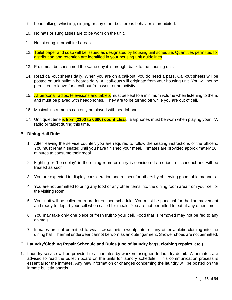- 9. Loud talking, whistling, singing or any other boisterous behavior is prohibited.
- 10. No hats or sunglasses are to be worn on the unit.
- 11. No loitering in prohibited areas.
- 12. Toilet paper and soap will be issued as designated by housing unit schedule. Quantities permitted for distribution and retention are identified in your housing unit guidelines.
- 13. Fruit must be consumed the same day it is brought back to the housing unit.
- 14. Read call-out sheets daily. When you are on a call-out, you do need a pass. Call-out sheets will be posted on unit bulletin boards daily. All call-outs will originate from your housing unit. You will not be permitted to leave for a call-out from work or an activity.
- 15. All personal radios, televisions and tablets must be kept to a minimum volume when listening to them, and must be played with headphones. They are to be turned off while you are out of cell.
- 16. Musical instruments can only be played with headphones.
- 17. Unit quiet time is from **(2100 to 0600) count clear.** Earphones must be worn when playing your TV, radio or tablet during this time.

#### **B. Dining Hall Rules**

- 1. After leaving the service counter, you are required to follow the seating instructions of the officers. You must remain seated until you have finished your meal. Inmates are provided approximately 20 minutes to consume their meal.
- 2. Fighting or "horseplay" in the dining room or entry is considered a serious misconduct and will be treated as such.
- 3. You are expected to display consideration and respect for others by observing good table manners.
- 4. You are not permitted to bring any food or any other items into the dining room area from your cell or the visiting room.
- 5. Your unit will be called on a predetermined schedule. You must be punctual for the line movement and ready to depart your cell when called for meals. You are not permitted to eat at any other time.
- 6. You may take only one piece of fresh fruit to your cell. Food that is removed may not be fed to any animals.
- 7. Inmates are not permitted to wear sweatshirts, sweatpants, or any other athletic clothing into the dining hall. Thermal underwear cannot be worn as an outer garment. Shower shoes are not permitted.

#### **C. Laundry/Clothing Repair Schedule and Rules (use of laundry bags, clothing repairs, etc.)**

1. Laundry service will be provided to all inmates by workers assigned to laundry detail. All inmates are advised to read the bulletin board on the units for laundry schedule. This communication process is essential for the inmates. Any new information or changes concerning the laundry will be posted on the inmate bulletin boards.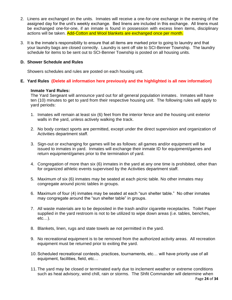- 2. Linens are exchanged on the units. Inmates will receive a one-for-one exchange in the evening of the assigned day for the unit's weekly exchange. Bed linens are included in this exchange. All linens must be exchanged one-for-one, if an inmate is found in possession with excess linen items, disciplinary actions will be taken. Add-Cotton and Wool blankets are exchanged once per month.
- 3. It is the inmate's responsibility to ensure that all items are marked prior to going to laundry and that your laundry bags are closed correctly. Laundry is sent off site to SCI-Benner Township. The laundry schedule for items to be sent out to SCI-Benner Township is posted on all housing units.

# **D. Shower Schedule and Rules**

Showers schedules and rules are posted on each housing unit.

**E. Yard Rules (Delete all information here previously and the highlighted is all new information)**

## **Inmate Yard Rules:**

The Yard Sergeant will announce yard out for all general population inmates. Inmates will have ten (10) minutes to get to yard from their respective housing unit. The following rules will apply to yard periods:

- 1. Inmates will remain at least six (6) feet from the interior fence and the housing unit exterior walls in the yard, unless actively walking the track.
- 2. No body contact sports are permitted, except under the direct supervision and organization of Activities department staff.
- 3. Sign-out or exchanging for games will be as follows: all games and/or equipment will be issued to inmates in yard. Inmates will exchange their inmate ID for equipment/games and return equipment/games prior to the termination of yard.
- 4. Congregation of more than six (6) inmates in the yard at any one time is prohibited, other than for organized athletic events supervised by the Activities department staff.
- 5. Maximum of six (6) inmates may be seated at each picnic table. No other inmates may congregate around picnic tables in groups.
- 6. Maximum of four (4) inmates may be seated at each "sun shelter table." No other inmates may congregate around the "sun shelter table" in groups.
- 7. All waste materials are to be deposited in the trash and/or cigarette receptacles. Toilet Paper supplied in the yard restroom is not to be utilized to wipe down areas (i.e. tables, benches, etc…).
- 8. Blankets, linen, rugs and state towels ae not permitted in the yard.
- 9. No recreational equipment is to be removed from the authorized activity areas. All recreation equipment must be returned prior to exiting the yard.
- 10. Scheduled recreational contests, practices, tournaments, etc… will have priority use of all equipment, facilities, field, etc…
- 11. The yard may be closed or terminated early due to inclement weather or extreme conditions such as heat advisory, wind chill, rain or storms. The Shfit Commander will determine when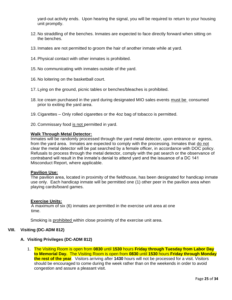yard-out activity ends. Upon hearing the signal, you will be required to return to your housing unit promptly.

- 12. No straddling of the benches. Inmates are expected to face directly forward when sitting on the benches.
- 13. Inmates are not permitted to groom the hair of another inmate while at yard.
- 14. Physical contact with other inmates is prohibited.
- 15. No communicating with inmates outside of the yard.
- 16. No loitering on the basketball court.
- 17. Lying on the ground, picnic tables or benches/bleaches is prohibited.
- 18. Ice cream purchased in the yard during designated MIO sales events must be consumed prior to exiting the yard area.
- 19. Cigarettes Only rolled cigarettes or the 4oz bag of tobacco is permitted.
- 20. Commissary food is not permitted in yard.

#### **Walk Through Metal Detector:**

Inmates will be randomly processed through the yard metal detector, upon entrance or egress, from the yard area. Inmates are expected to comply with the processing. Inmates that do not clear the metal detector will be pat searched by a female officer, in accordance with DOC policy. Refusals to process through the metal detector, comply with the pat search or the observance of contraband will result in the inmate's denial to attend yard and the issuance of a DC 141 Misconduct Report, where applicable.

#### **Pavilion Use:**

The pavilion area, located in proximity of the fieldhouse, has been designated for handicap inmate use only. Each handicap inmate will be permitted one (1) other peer in the pavilion area when playing cards/board games.

#### **Exercise Units:**

 A maximum of six (6) inmates are permitted in the exercise unit area at one time.

Smoking is prohibited within close proximity of the exercise unit area.

#### **VIII. Visiting (DC-ADM 812)**

#### **A. Visiting Privileges (DC-ADM 812)**

1. The Visiting Room is open from **0830** until **1530** hours **Friday through Tuesday from Labor Day to Memorial Day.** The Visiting Room is open from **0830** until **1530** hours **Friday through Monday the rest of the year**. Visitors arriving after **1430** hours will not be processed for a visit. Visitors should be encouraged to come during the week rather than on the weekends in order to avoid congestion and assure a pleasant visit.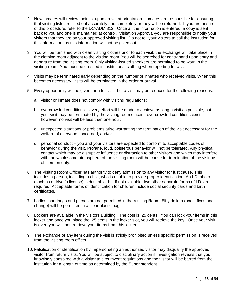- 2. New inmates will review their list upon arrival at orientation. Inmates are responsible for ensuring that visiting lists are filled out accurately and completely or they will be returned. If you are unsure of this procedure, refer to the DC-ADM 812. Once all the information is entered, a copy is sent back to you and one is maintained at control. Visitation Approval-you are responsible to notify your visitors that they are on your approved visiting list. Do not tell your visitors to call the institution for this information, as this information will not be given out.
- 3. You will be furnished with clean visiting clothes prior to each visit; the exchange will take place in the clothing room adjacent to the visiting room. You will be searched for contraband upon entry and departure from the visiting room. Only visiting-issued sneakers are permitted to be worn in the visiting room. You must be dressed in institutional clothing when reporting for a visit.
- 4. Visits may be terminated early depending on the number of inmates who received visits. When this becomes necessary, visits will be terminated in the order or arrival.
- 5. Every opportunity will be given for a full visit, but a visit may be reduced for the following reasons:
	- a. visitor or inmate does not comply with visiting regulations;
	- b. overcrowded conditions every effort will be made to achieve as long a visit as possible, but your visit may be terminated by the visiting room officer if overcrowded conditions exist; however, no visit will be less than one hour;
	- c. unexpected situations or problems arise warranting the termination of the visit necessary for the welfare of everyone concerned; and/or
	- d. personal conduct you and your visitors are expected to conform to acceptable codes of behavior during the visit. Profane, loud, boisterous behavior will not be tolerated. Any physical contact which may be disruptive influence or distraction to other visitors and which may interfere with the wholesome atmosphere of the visiting room will be cause for termination of the visit by officers on duty.
- 6. The Visiting Room Officer has authority to deny admission to any visitor for just cause. This includes a person, including a child, who is unable to provide proper identification. An I.D. photo (such as a driver's license) is desirable, but if not available, two other separate forms of I.D. are required. Acceptable forms of identification for children include social security cards and birth certificates.
- 7. Ladies' handbags and purses are not permitted in the Visiting Room. Fifty dollars (ones, fives and change) will be permitted in a clear plastic bag.
- 8. Lockers are available in the Visitors Building. The cost is .25 cents. You can lock your items in this locker and once you place the .25 cents in the locker slot, you will retrieve the key. Once your visit is over, you will then retrieve your items from this locker.
- 9. The exchange of any item during the visit is strictly prohibited unless specific permission is received from the visiting room officer.
- 10. Falsification of identification by impersonating an authorized visitor may disqualify the approved visitor from future visits. You will be subject to disciplinary action if investigation reveals that you knowingly conspired with a visitor to circumvent regulations and the visitor will be barred from the institution for a length of time as determined by the Superintendent.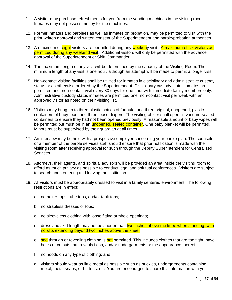- 11. A visitor may purchase refreshments for you from the vending machines in the visiting room. Inmates may not possess money for the machines.
- 12. Former inmates and parolees as well as inmates on probation, may be permitted to visit with the prior written approval and written consent of the Superintendent and parole/probation authorities.
- 13. A maximum of eight visitors are permitted during any weekday visit. A maximum of six visitors ae permitted during any weekend visit. Additional visitors will only be permitted with the advance approval of the Superintendent or Shift Commander.
- 14. The maximum length of any visit will be determined by the capacity of the Visiting Room. The minimum length of any visit is one hour, although an attempt will be made to permit a longer visit.
- 15. Non-contact visiting facilities shall be utilized for inmates in disciplinary and administrative custody status or as otherwise ordered by the Superintendent. Disciplinary custody status inmates are permitted one, non-contact visit every 30 days for one hour with immediate family members only. Administrative custody status inmates are permitted one, non-contact visit per week with an approved visitor as noted on their visiting list.
- 16. Visitors may bring up to three plastic bottles of formula, and three original, unopened, plastic containers of baby food, and three loose diapers. The visiting officer shall open all vacuum-sealed containers to ensure they had not been opened previously. A reasonable amount of baby wipes will be permitted but must be in an *unopened, sealed container*. One baby blanket will be permitted. Minors must be supervised by their guardian at all times.
- 17. An interview may be held with a prospective employer concerning your parole plan. The counselor or a member of the parole services staff should ensure that prior notification is made with the visiting room after receiving approval for such through the Deputy Superintendent for Centralized Services.
- 18. Attorneys, their agents, and spiritual advisors will be provided an area inside the visiting room to afford as much privacy as possible to conduct legal and spiritual conferences. Visitors are subject to search upon entering and leaving the institution.
- 19. All visitors must be appropriately dressed to visit in a family centered environment. The following restrictions are in effect:
	- a. no halter-tops, tube tops, and/or tank tops;
	- b. no strapless dresses or tops;
	- c. no sleeveless clothing with loose fitting armhole openings;
	- d. dress and skirt length may not be shorter than two inches above the knee when standing, with no slits extending beyond two inches above the knee;
	- e. see through or revealing clothing is not permitted. This includes clothes that are too tight, have holes or cutouts that reveals flesh, and/or undergarments or the appearance thereof;
	- f. no hoods on any type of clothing; and
	- g. visitors should wear as little metal as possible such as buckles, undergarments containing metal, metal snaps, or buttons, etc. You are encouraged to share this information with your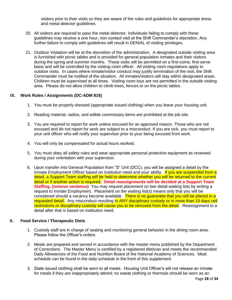visitors prior to their visits so they are aware of the rules and guidelines for appropriate dress and metal detector guidelines.

- 20. All visitors are required to pass the metal detector. Individuals failing to comply with these guidelines may receive a one hour, non-contact visit at the Shift Commander's discretion. Any further failure to comply with guidelines will result in DENIAL of visiting privileges.
- 21. Outdoor Visitation will be at the discretion of the administration. A designated outside visiting area is furnished with picnic tables and is provided for general population inmates and their visitors during the spring and summer months. These visits will be permitted on a first-come, first-serve basis and will be controlled by the visiting room officer. All visiting room regulations apply to outdoor visits. In cases where inmate/visitor conduct may justify termination of the visit, the Shift Commander must be notified of the situation. All inmates/visitors will stay within designated areas. Children must be supervised at all times. Visiting room toys are not permitted in the outside visiting area. Please do not allow children to climb trees, fences or on the picnic tables.

## **IX. Work Rules / Assignments (DC-ADM 816)**

- 1. You must be properly dressed (appropriate issued clothing) when you leave your housing unit.
- 2. Reading material, radios, and edible commissary items are prohibited at the job site.
- 3. You are required to report for work unless excused for an approved reason. Those who are not excused and do not report for work are subject to a misconduct. If you are sick, you must report to your unit officer who will notify your supervisor prior to your being excused from work.
- 4. You will only be compensated for actual hours worked.
- 5. You must obey all safety rules and wear appropriate personal protective equipment as reviewed during your orientation with your supervisor.
- 6. Upon transfer into General Population from "S" Unit (DCC), you will be assigned a detail by the Inmate Employment Officer based on institution need and your ability. If you are suspended from a detail, a Support Team staffing will be held to determine whether you will be returned to the current detail or if another action is required. **Detail reassignments will be decided at a Support Team Staffing. (remove sentence)** You may request placement on two detail waiting lists by writing a request to Inmate Employment. Placement on the waiting list(s) means only that you will be considered should a vacancy become available. There is no quarantee that you will be placed in a requested detail. Any misconduct resulting in ANY disciplinary custody or in more than 15 days cell restrictions or disciplinary custody will cause you to be removed from the detail. Reassignment to a detail after that is based on institution need.

#### **X. Food Service / Therapeutic Diets**

- 1. Custody staff are in charge of seating and monitoring general behavior in the dining room area. Please follow the Officer's orders.
- 2. Meals are prepared and served in accordance with the master menu published by the Department of Corrections. The Master Menu is certified by a registered dietician and meets the recommended Daily Allowances of the Food and Nutrition Board of the National Academy of Sciences. Meal schedule can be found in the daily schedule in the front of this supplement.
- 3. State issued clothing shall be worn to all meals. Housing Unit Officer's will not release an inmate for meals if they are inappropriately attired; no sweat clothing or thermals should be worn as an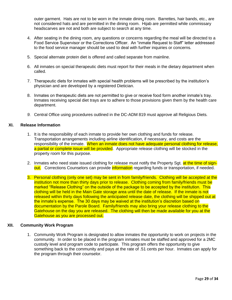outer garment. Hats are not to be worn in the inmate dining room. Barrettes, hair bands, etc., are not considered hats and are permitted in the dining room. Hijab are permitted while commissary headscarves are not and both are subject to search at any time.

- 4. After seating in the dining room, any questions or concerns regarding the meal will be directed to a Food Service Supervisor or the Corrections Officer. An "inmate Request to Staff" letter addressed to the food service manager should be used to deal with further inquiries or concerns.
- 5. Special alternate protein diet is offered and called separate from mainline.
- 6. All inmates on special therapeutic diets must report for their meals in the dietary department when called.
- 7. Therapeutic diets for inmates with special health problems will be prescribed by the institution's physician and are developed by a registered Dietician.
- 8. Inmates on therapeutic diets are not permitted to give or receive food form another inmate's tray. Inmates receiving special diet trays are to adhere to those provisions given them by the health care department.
- *9.* Central Office using procedures outlined in the DC-ADM 819 must approve all Religious Diets*.*

## **XI. Release Information**

- 1. It is the responsibility of each inmate to provide her own clothing and funds for release. Transportation arrangements including airline identification, if necessary, and costs are the responsibility of the inmate. When an inmate does not have adequate personal clothing for release, a partial or complete issue will be provided. Appropriate release clothing will be stocked in the property room for this purpose.
- 2. Inmates who need state issued clothing for release must notify the Property Sgt. at the time of signout. Corrections Counselors can provide *information* regarding funds or transportation, if needed.
- 3. Personal clothing (only one set) may be sent in from family/friends. Clothing will be accepted at the institution not more than thirty days prior to release. Clothing coming from family/friends must be marked "Release Clothing" on the outside of the package to be accepted by the institution. This clothing will be held in the Main Gate storage area until the date of release. If the inmate is not released within thirty days following the anticipated release date, the clothing will be shipped out at the inmate's expense. The 30 days may be waived at the institution's discretion based on documentation by the Parole Board. Family/friends may also bring your release clothing to the Gatehouse on the day you are released. The clothing will then be made available for you at the Gatehouse as you are processed out.

#### **XII. Community Work Program**

1. Community Work Program is designated to allow inmates the opportunity to work on projects in the community. In order to be placed in the program inmates must be staffed and approved for a 2MC custody level and program code to participate. This program offers the opportunity to give something back to the community and pays at the rate of .51 cents per hour. Inmates can apply for the program through their counselor.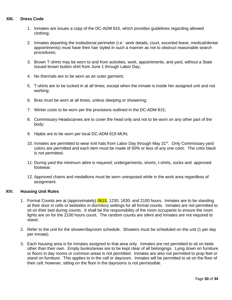# **XIII. Dress Code**

- 1. Inmates are issues a copy of the DC-ADM 815, which provides guidelines regarding allowed clothing;
- 2. Inmates departing the institutional perimeter (i.e.: work details, court, escorted leave, medical/dental appointments) must have their hair styled in such a manner as not to obstruct reasonable search procedures;
- 3. Brown T-shirts may be worn to and from activities, work, appointments, and yard, without a State Issued brown button shirt from June 1 through Labor Day;
- 4. No thermals are to be worn as an outer garment;
- 5. T-shirts are to be tucked in at all times, except when the inmate is inside her assigned unit and not working;
- 6. Bras must be worn at all times, unless sleeping or showering;
- 7. Winter costs to be worn per the provisions outlined in the DC-ADM 815;
- 8. Commissary Headscarves are to cover the head only and not to be worn on any other part of the body;
- 9. Hijabs are to be worn per local DC-ADM 819 MUN;
- 10. Inmates are permitted to wear knit hats from Labor Day through May 31<sup>st</sup>. Only Commissary yard colors are permitted and each item must be made of 50% or less of any one color. The color black is not permitted.
- 11. During yard the minimum attire is required; undergarments, shorts, t-shirts, socks and approved footwear.
- 12. Approved chains and medallions must be worn unexposed while in the work area regardless of assignment.

# **XIV. Housing Unit Rules**

- 1. Formal Counts are at (approximately) **0615**, 1230, 1630, and 2100 hours. Inmates are to be standing at their door in cells or bedsides in dormitory settings for all formal counts. Inmates are not permitted to sit on their bed during counts. It shall be the responsibility of the room occupants to ensure the room lights are on for the 2100 hours count. The random counts are silent and inmates are not required to stand.
- 2. Refer to the unit for the shower/dayroom schedule. Showers must be scheduled on the unit (1 per day per inmate).
- 3. Each housing area is for inmates assigned to that area only. Inmates are not permitted to sit on beds other than their own. Empty bunks/areas are to be kept clear of all belongings. Lying down on furniture or floors in day rooms or common areas is not permitted. Inmates are also not permitted to prop feet or stand on furniture. This applies to in the cell or dayroom. Inmates will be permitted to sit on the floor of their cell; however, sitting on the floor in the dayrooms is not permissible.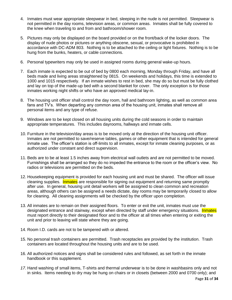- 4. Inmates must wear appropriate sleepwear in bed, sleeping in the nude is not permitted. Sleepwear is not permitted in the day rooms, television areas, or common areas. Inmates shall be fully covered to the knee when traveling to and from and bathroom/shower room.
- 5. Pictures may only be displayed on the board provided or on the front/back of the locker doors. The display of nude photos or pictures or anything obscene, sexual, or provocative is prohibited in accordance with DC-ADM 803. Nothing is to be attached to the ceiling or light fixtures. Nothing is to be hung from the bunks, heaters, or cable connections.
- 6. Personal typewriters may only be used in assigned rooms during general wake-up hours.
- 7. Each inmate is expected to be out of bed by 0800 each morning, Monday through Friday, and have all beds made and living areas straightened by 0815. On weekends and holidays, this time is extended to 1000 and 1015 respectively. If an inmate wishes to rest in bed, she may do so but must be fully clothed and lay on top of the made-up bed with a second blanket for cover. The only exception is for those inmates working night shifts or who have an approved medical lay-in.
- 8. The housing unit officer shall control the day room, hall and bathroom lighting, as well as common area fans and TV's. When departing any common area of the housing unit, inmates shall remove all personal items and any type of refuse.
- 9. Windows are to be kept closed on all housing units during the cold seasons in order to maintain appropriate temperatures. This includes dayrooms, hallways and inmate cells.
- 10. Furniture in the television/day areas is to be moved only at the direction of the housing unit officer. Inmates are not permitted to save/reserve tables, games or other equipment that is intended for general inmate use. The officer's station is off-limits to all inmates, except for inmate cleaning purposes, or as authorized under constant and direct supervision.
- 11. Beds are to be at least 1.5 inches away from electrical wall outlets and are not permitted to be moved. Furnishings shall be arranged so they do no impeded the entrance to the room or the officer's view. No radios or televisions are permitted on the beds.
- 12. Housekeeping equipment is provided for each housing unit and must be shared. The officer will issue cleaning supplies. Inmates are responsible for signing out equipment and returning same promptly after use. In general, housing unit detail workers will be assigned to clean common and recreation areas, although others can be assigned a needs dictate, day rooms may be temporarily closed to allow for cleaning. All cleaning assignments will be checked by the officer upon completion.
- 13. All inmates are to remain on their assigned floors. To enter or exit the unit, inmates must use the designated entrance and stairway, except when directed by staff under emergency situations. Inmates must report directly to their designated floor and to the officer at all times when entering or exiting the unit and prior to leaving will state where they are going.
- 14. Room I.D. cards are not to be tampered with or altered.
- 15. No personal trash containers are permitted. Trash receptacles are provided by the institution. Trash containers are located throughout the housing units and are to be used.
- 16. All authorized notices and signs shall be considered rules and followed, as set forth in the inmate handbook or this supplement.
- *17.* Hand washing of small items, T-shirts and thermal underwear is to be done in washbasins only and not in sinks. Items needing to dry may be hung on chairs or in closets (between 2000 and 0700 only); and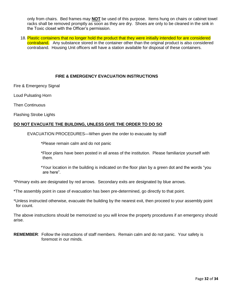only from chairs. Bed frames may **NOT** be used of this purpose. Items hung on chairs or cabinet towel racks shall be removed promptly as soon as they are dry. Shoes are only to be cleaned in the sink in the Toxic closet with the Officer's permission.

18. Plastic containers that no longer hold the product that they were initially intended for are considered contraband. Any substance stored in the container other than the original product is also considered contraband. Housing Unit officers will have a station available for disposal of these containers.

# **FIRE & EMERGENCY EVACUATION INSTRUCTIONS**

Fire & Emergency Signal

Loud Pulsating Horn

Then Continuous

Flashing Strobe Lights

# **DO NOT EVACUATE THE BUILDING, UNLESS GIVE THE ORDER TO DO SO**

EVACUATION PROCEDURES—When given the order to evacuate by staff

\*Please remain calm and do not panic

\*Floor plans have been posted in all areas of the institution. Please familiarize yourself with them.

\*Your location in the building is indicated on the floor plan by a green dot and the words "you are here".

\*Primary exits are designated by red arrows. Secondary exits are designated by blue arrows.

\*The assembly point in case of evacuation has been pre-determined, go directly to that point.

\*Unless instructed otherwise, evacuate the building by the nearest exit, then proceed to your assembly point for count.

The above instructions should be memorized so you will know the property procedures if an emergency should arise.

**REMEMBER**: Follow the instructions of staff members. Remain calm and do not panic. Your safety is foremost in our minds.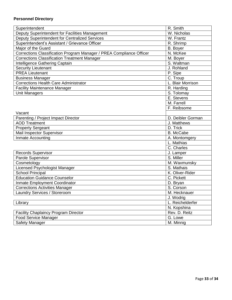# **Personnel Directory**

| Superintendent                                                       | R. Smith                |
|----------------------------------------------------------------------|-------------------------|
| Deputy Superintendent for Facilities Management                      | W. Nicholas             |
| Deputy Superintendent for Centralized Services                       | $\overline{W}$ . Frantz |
| Superintendent's Assistant / Grievance Officer                       | R. Shrimp               |
| Major of the Guard                                                   | B. Boyer                |
| Corrections Classification Program Manager / PREA Compliance Officer | N. McKee                |
| <b>Corrections Classification Treatment Manager</b>                  | M. Boyer                |
| Intelligence Gathering Captain                                       | S. Waltman              |
| Security Lieutenant                                                  | J. Rohland              |
| <b>PREA Lieutenant</b>                                               | P. Sipe                 |
| <b>Business Manager</b>                                              | C. Troup                |
| <b>Corrections Health Care Administrator</b>                         | L. Blair Morrison       |
| <b>Facility Maintenance Manager</b>                                  | R. Harding              |
| <b>Unit Managers</b>                                                 | S. Tolomay              |
|                                                                      | E. Stevens              |
|                                                                      | M. Farrell              |
|                                                                      | F. Reibsome             |
| Vacant                                                               |                         |
| Parenting / Project Impact Director                                  | D. Deibler Gorman       |
| <b>AOD Treatment</b>                                                 | J. Matthews             |
| <b>Property Sergeant</b>                                             | D. Trick                |
| Mail Inspector Supervisor                                            | <b>B.</b> McCabe        |
| Inmate Accounting                                                    | A. Montomgery           |
|                                                                      | L. Mathias              |
|                                                                      | C. Charles              |
| <b>Records Supervisor</b>                                            | J. Lamper               |
| Parole Supervisor                                                    | S. Miller               |
| Cosmetology                                                          | M. Waxmunsky            |
| Licensed Psychologist Manager                                        | S. Mathais              |
| School Principal                                                     | K. Oliver-Rider         |
| <b>Education Guidance Counselor</b>                                  | C. Pickett              |
| Inmate Employment Coordinator                                        | D. Bryan                |
| Corrections Activities Manager                                       | S. Corson               |
| Laundry Services / Storeroom                                         | M. Hecknauer            |
|                                                                      | J. Wodrig               |
| Library                                                              | L. Reichelderfer        |
|                                                                      | N. Kopshina             |
| <b>Facility Chaplaincy Program Director</b>                          | Rev. D. Reitz           |
| Food Service Manager                                                 | G. Lowe                 |
| Safety Manager                                                       | M. Minnig               |